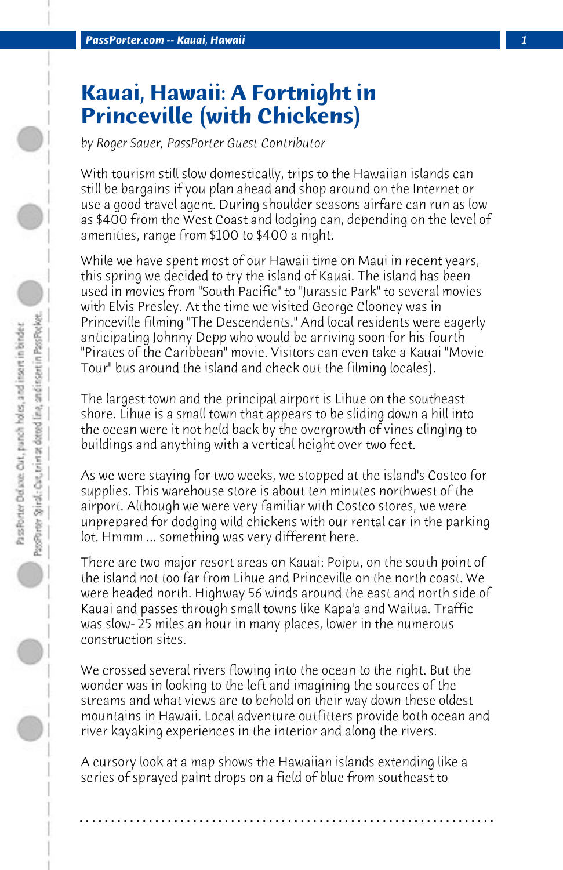# **Kauai, Hawaii: A Fortnight in Princeville (with Chickens)**

*by Roger Sauer, PassPorter Guest Contributor*

With tourism still slow domestically, trips to the Hawaiian islands can still be bargains if you plan ahead and shop around on the Internet or use a good travel agent. During shoulder seasons airfare can run as low as \$400 from the West Coast and lodging can, depending on the level of amenities, range from \$100 to \$400 a night.

While we have spent most of our Hawaii time on Maui in recent years, this spring we decided to try the island of Kauai. The island has been used in movies from "South Pacific" to "Jurassic Park" to several movies with Elvis Presley. At the time we visited George Clooney was in Princeville filming "The Descendents." And local residents were eagerly anticipating Johnny Depp who would be arriving soon for his fourth "Pirates of the Caribbean" movie. Visitors can even take a Kauai "Movie Tour" bus around the island and check out the filming locales).

The largest town and the principal airport is Lihue on the southeast shore. Lihue is a small town that appears to be sliding down a hill into the ocean were it not held back by the overgrowth of vines clinging to buildings and anything with a vertical height over two feet.

As we were staying for two weeks, we stopped at the island's Costco for supplies. This warehouse store is about ten minutes northwest of the airport. Although we were very familiar with Costco stores, we were unprepared for dodging wild chickens with our rental car in the parking lot. Hmmm ... something was very different here.

There are two major resort areas on Kauai: Poipu, on the south point of the island not too far from Lihue and Princeville on the north coast. We were headed north. Highway 56 winds around the east and north side of Kauai and passes through small towns like Kapa'a and Wailua. Traffic was slow- 25 miles an hour in many places, lower in the numerous construction sites.

We crossed several rivers flowing into the ocean to the right. But the wonder was in looking to the left and imagining the sources of the streams and what views are to behold on their way down these oldest mountains in Hawaii. Local adventure outfitters provide both ocean and river kayaking experiences in the interior and along the rivers.

A cursory look at a map shows the Hawaiian islands extending like a series of sprayed paint drops on a field of blue from southeast to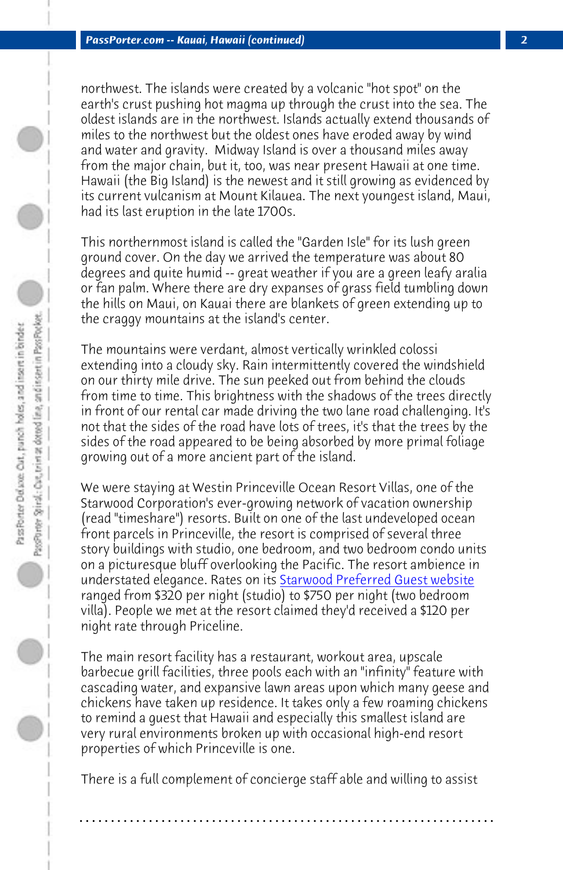*PassPorter.com -- Kauai, Hawaii (continued) 2*

northwest. The islands were created by a volcanic "hot spot" on the earth's crust pushing hot magma up through the crust into the sea. The oldest islands are in the northwest. Islands actually extend thousands of miles to the northwest but the oldest ones have eroded away by wind and water and gravity. Midway Island is over a thousand miles away from the major chain, but it, too, was near present Hawaii at one time. Hawaii (the Big Island) is the newest and it still growing as evidenced by its current vulcanism at Mount Kilauea. The next youngest island, Maui, had its last eruption in the late 1700s.

This northernmost island is called the "Garden Isle" for its lush green ground cover. On the day we arrived the temperature was about 80 degrees and quite humid -- great weather if you are a green leafy aralia or fan palm. Where there are dry expanses of grass field tumbling down the hills on Maui, on Kauai there are blankets of green extending up to the craggy mountains at the island'[s center.](http://www.spg.com) 

The mountains were verdant, almost vertically wrinkled colossi extending into a cloudy sky. Rain intermittently covered the windshield on our thirty mile drive. The sun peeked out from behind the clouds from time to time. This brightness with the shadows of the trees directly in front of our rental car made driving the two lane road challenging. It's not that the sides of the road have lots of trees, it's that the trees by the sides of the road appeared to be being absorbed by more primal foliage growing out of a more ancient part of the island.

We were staying at Westin Princeville Ocean Resort Villas, one of the Starwood Corporation's ever-growing network of vacation ownership (read "timeshare") resorts. Built on one of the last undeveloped ocean front parcels in Princeville, the resort is comprised of several three story buildings with studio, one bedroom, and two bedroom condo units on a picturesque bluff overlooking the Pacific. The resort ambience in understated elegance. Rates on its Starwood Preferred Guest website ranged from \$320 per night (studio) to \$750 per night (two bedroom villa). People we met at the resort claimed they'd received a \$120 per night rate through Priceline.

The main resort facility has a restaurant, workout area, upscale barbecue grill facilities, three pools each with an "infinity" feature with cascading water, and expansive lawn areas upon which many geese and chickens have taken up residence. It takes only a few roaming chickens to remind a guest that Hawaii and especially this smallest island are very rural environments broken up with occasional high-end resort properties of which Princeville is one.

There is a full complement of concierge staff able and willing to assist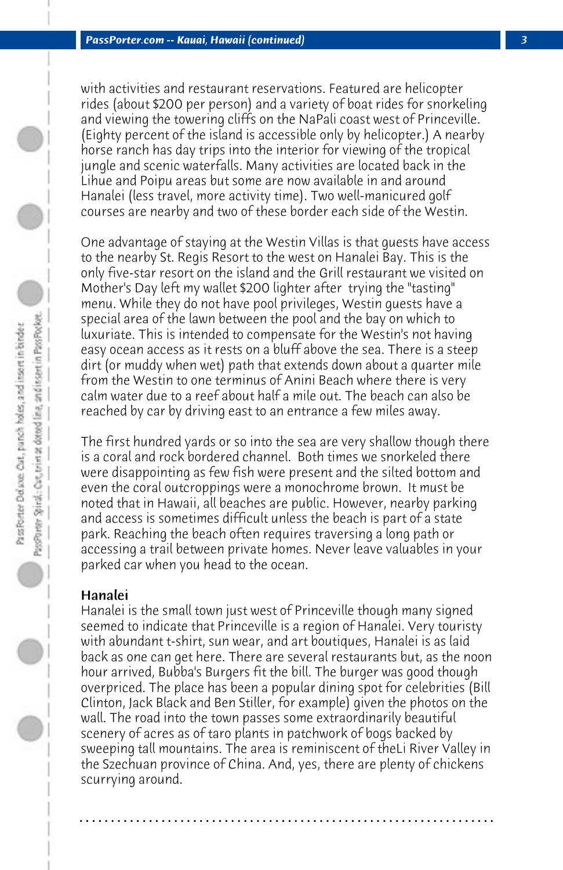with activities and restaurant reservations. Featured are helicopter rides (about \$200 per person) and a variety of boat rides for snorkeling and viewing the towering cliffs on the NaPali coast west of Princeville. (Eighty percent of the island is accessible only by helicopter.) A nearby horse ranch has day trips into the interior for viewing of the tropical jungle and scenic waterfalls. Many activities are located back in the Lihue and Poipu areas but some are now available in and around Hanalei (less travel, more activity time). Two well-manicured golf courses are nearby and two of these border each side of the Westin.

One advantage of staying at the Westin Villas is that guests have access to the nearby St. Regis Resort to the west on Hanalei Bay. This is the only five-star resort on the island and the Grill restaurant we visited on Mother's Day left my wallet \$200 lighter after trying the "tasting" menu. While they do not have pool privileges, Westin guests have a special area of the lawn between the pool and the bay on which to luxuriate. This is intended to compensate for the Westin's not having easy ocean access as it rests on a bluff above the sea. There is a steep dirt (or muddy when wet) path that extends down about a quarter mile from the Westin to one terminus of Anini Beach where there is very calm water due to a reef about half a mile out. The beach can also be reached by car by driving east to an entrance a few miles away.

The first hundred yards or so into the sea are very shallow though there is a coral and rock bordered channel. Both times we snorkeled there were disappointing as few fish were present and the silted bottom and even the coral outcroppings were a monochrome brown. It must be noted that in Hawaii, all beaches are public. However, nearby parking and access is sometimes difficult unless the beach is part of a state park. Reaching the beach often requires traversing a long path or accessing a trail between private homes. Never leave valuables in your parked car when you head to the ocean.

## Hanalei

Hanalei is the small town just west of Princeville though many signed seemed to indicate that Princeville is a region of Hanalei. Very touristy with abundant t-shirt, sun wear, and art boutiques, Hanalei is as laid back as one can get here. There are several restaurants but, as the noon hour arrived, Bubba's Burgers fit the bill. The burger was good though overpriced. The place has been a popular dining spot for celebrities (Bill Clinton, Jack Black and Ben Stiller, for example) given the photos on the wall. The road into the town passes some extraordinarily beautiful scenery of acres as of taro plants in patchwork of bogs backed by sweeping tall mountains. The area is reminiscent of theLi River Valley in the Szechuan province of China. And, yes, there are plenty of chickens scurrying around.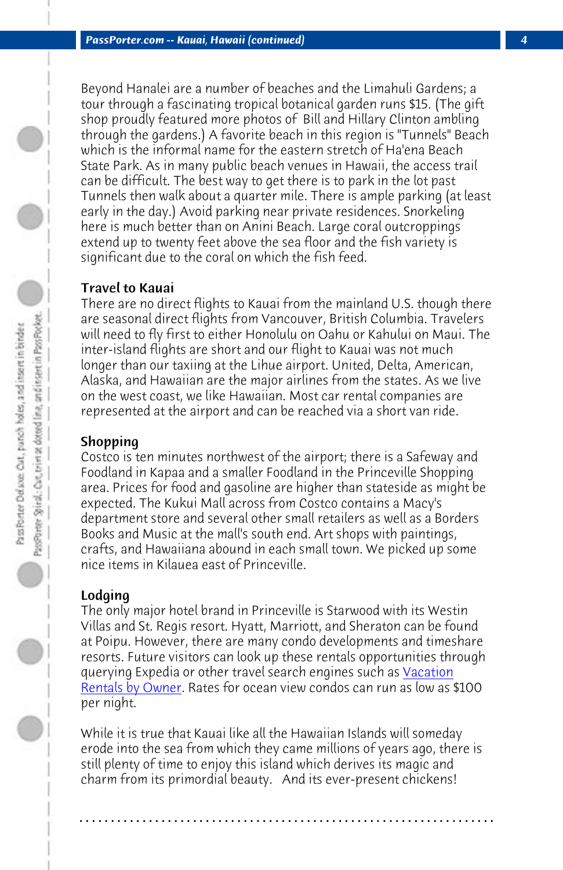*PassPorter.com -- Kauai, Hawaii (continued) 4*

Beyond Hanalei are a number of beaches and the Limahuli Gardens; a tour through a fascinating tropical botanical garden runs \$15. (The gift shop proudly featured more photos of Bill and Hillary Clinton ambling through the gardens.) A favorite beach in this region is "Tunnels" Beach which is the informal name for the eastern stretch of Ha'ena Beach State Park. As in many public beach venues in Hawaii, the access trail can be difficult. The best way to get there is to park in the lot past Tunnels then walk about a quarter mile. There is ample parking (at least early in the day.) Avoid parking near private residences. Snorkeling here is much better than on Anini Beach. Large coral outcroppings extend up to twenty feet above the sea floor and the fish variety is significant due to the coral on which the fish feed.

#### Travel to Kauai

There are no direct flights to Kauai from the mainland U.S. though there are seasonal direct flights from Vancouver, British Columbia. Travelers will need to fly first to either Honolulu on Oahu or Kahului on Maui. The inter-island flights are short and our flight to Kauai was not much longer than our taxiing at the Lihue airport. United, Delta, American, Alaska, and Hawaiian are the major airlines from the states. As we live on the west coast, we like Hawaiian. Most car rental companies are represented at the airport and can be reached via a shor[t van ride](http://www.vrbo.com).

#### [Shopping](http://www.vrbo.com)

Costco is ten minutes northwest of the airport; there is a Safeway and Foodland in Kapaa and a smaller Foodland in the Princeville Shopping area. Prices for food and gasoline are higher than stateside as might be expected. The Kukui Mall across from Costco contains a Macy's department store and several other small retailers as well as a Borders Books and Music at the mall's south end. Art shops with paintings, crafts, and Hawaiiana abound in each small town. We picked up some nice items in Kilauea east of Princeville.

### Lodging

The only major hotel brand in Princeville is Starwood with its Westin Villas and St. Regis resort. Hyatt, Marriott, and Sheraton can be found at Poipu. However, there are many condo developments and timeshare resorts. Future visitors can look up these rentals opportunities through querying Expedia or other travel search engines such as **Vacation** Rentals by Owner. Rates for ocean view condos can run as low as \$100 per night.

While it is true that Kauai like all the Hawaiian Islands will someday erode into the sea from which they came millions of years ago, there is still plenty of time to enjoy this island which derives its magic and charm from its primordial beauty. And its ever-present chickens!